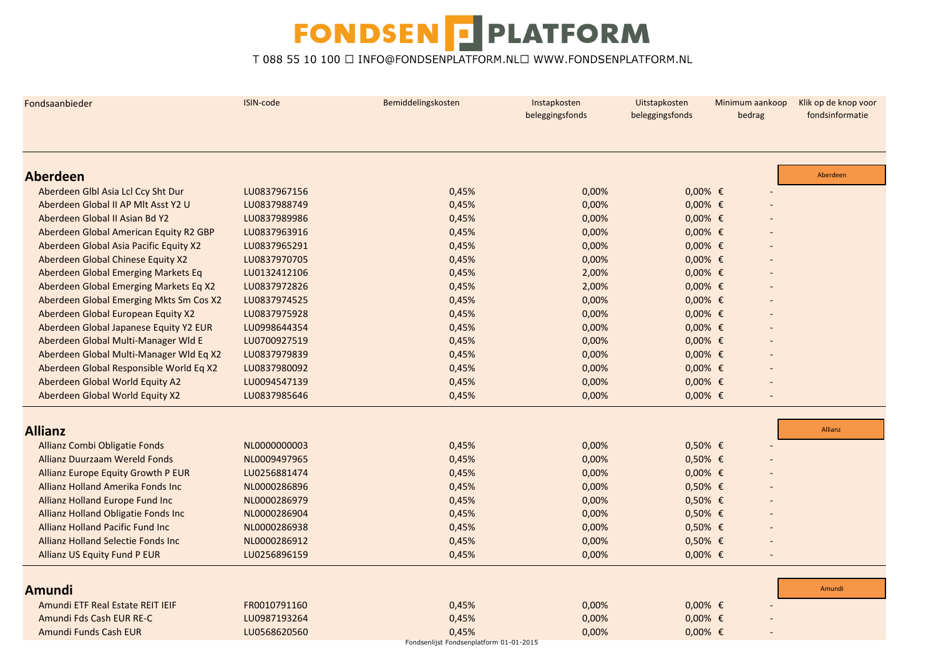| Fondsaanbieder                            | ISIN-code    | Bemiddelingskosten                      | Instapkosten<br>beleggingsfonds | Uitstapkosten<br>beleggingsfonds | Minimum aankoop<br>bedrag | Klik op de knop voor<br>fondsinformatie |
|-------------------------------------------|--------------|-----------------------------------------|---------------------------------|----------------------------------|---------------------------|-----------------------------------------|
|                                           |              |                                         |                                 |                                  |                           |                                         |
| <b>Aberdeen</b>                           |              |                                         |                                 |                                  |                           | Aberdeen                                |
| Aberdeen Glbl Asia Lcl Ccy Sht Dur        | LU0837967156 | 0,45%                                   | 0,00%                           | $0,00%$ €                        |                           |                                         |
| Aberdeen Global II AP MIt Asst Y2 U       | LU0837988749 | 0,45%                                   | 0,00%                           | $0,00%$ €                        |                           |                                         |
| Aberdeen Global II Asian Bd Y2            | LU0837989986 | 0,45%                                   | 0,00%                           | $0,00%$ €                        |                           |                                         |
| Aberdeen Global American Equity R2 GBP    | LU0837963916 | 0,45%                                   | 0,00%                           | $0,00%$ €                        |                           |                                         |
| Aberdeen Global Asia Pacific Equity X2    | LU0837965291 | 0,45%                                   | 0,00%                           | $0,00%$ €                        |                           |                                         |
| Aberdeen Global Chinese Equity X2         | LU0837970705 | 0,45%                                   | 0,00%                           | $0,00%$ €                        |                           |                                         |
| Aberdeen Global Emerging Markets Eq       | LU0132412106 | 0,45%                                   | 2,00%                           | $0,00%$ €                        |                           |                                         |
| Aberdeen Global Emerging Markets Eq X2    | LU0837972826 | 0,45%                                   | 2,00%                           | $0,00%$ €                        |                           |                                         |
| Aberdeen Global Emerging Mkts Sm Cos X2   | LU0837974525 | 0,45%                                   | 0,00%                           | $0,00%$ €                        |                           |                                         |
| Aberdeen Global European Equity X2        | LU0837975928 | 0,45%                                   | 0,00%                           | $0,00%$ €                        |                           |                                         |
| Aberdeen Global Japanese Equity Y2 EUR    | LU0998644354 | 0,45%                                   | 0,00%                           | $0,00%$ €                        |                           |                                         |
| Aberdeen Global Multi-Manager Wld E       | LU0700927519 | 0,45%                                   | 0,00%                           | $0,00%$ €                        |                           |                                         |
| Aberdeen Global Multi-Manager Wld Eq X2   | LU0837979839 | 0,45%                                   | 0,00%                           | $0,00%$ €                        |                           |                                         |
| Aberdeen Global Responsible World Eq X2   | LU0837980092 | 0,45%                                   | 0,00%                           | $0,00%$ €                        |                           |                                         |
| Aberdeen Global World Equity A2           | LU0094547139 | 0,45%                                   | 0,00%                           | $0,00%$ €                        |                           |                                         |
| Aberdeen Global World Equity X2           | LU0837985646 | 0,45%                                   | 0,00%                           | $0,00%$ €                        |                           |                                         |
|                                           |              |                                         |                                 |                                  |                           |                                         |
| <b>Allianz</b>                            |              |                                         |                                 |                                  |                           | Allianz                                 |
| Allianz Combi Obligatie Fonds             | NL0000000003 | 0,45%                                   | 0,00%                           | $0,50%$ €                        |                           |                                         |
| <b>Allianz Duurzaam Wereld Fonds</b>      | NL0009497965 | 0,45%                                   | 0,00%                           | $0,50%$ €                        |                           |                                         |
| Allianz Europe Equity Growth P EUR        | LU0256881474 | 0,45%                                   | 0,00%                           | $0,00%$ €                        |                           |                                         |
| Allianz Holland Amerika Fonds Inc         | NL0000286896 | 0,45%                                   | 0,00%                           | $0,50%$ €                        |                           |                                         |
| Allianz Holland Europe Fund Inc           | NL0000286979 | 0,45%                                   | 0,00%                           | $0,50%$ €                        |                           |                                         |
| Allianz Holland Obligatie Fonds Inc       | NL0000286904 | 0,45%                                   | 0,00%                           | $0,50%$ €                        |                           |                                         |
| <b>Allianz Holland Pacific Fund Inc.</b>  | NL0000286938 | 0,45%                                   | 0,00%                           | $0,50%$ €                        |                           |                                         |
| <b>Allianz Holland Selectie Fonds Inc</b> | NL0000286912 | 0,45%                                   | 0,00%                           | $0,50%$ €                        |                           |                                         |
| <b>Allianz US Equity Fund P EUR</b>       | LU0256896159 | 0,45%                                   | 0,00%                           | $0,00%$ €                        |                           |                                         |
|                                           |              |                                         |                                 |                                  |                           |                                         |
| <b>Amundi</b>                             |              |                                         |                                 |                                  |                           | Amundi                                  |
| Amundi ETF Real Estate REIT IEIF          | FR0010791160 | 0,45%                                   | 0,00%                           | $0,00%$ €                        |                           |                                         |
| Amundi Fds Cash EUR RE-C                  | LU0987193264 | 0,45%                                   | 0,00%                           | $0,00%$ €                        |                           |                                         |
| Amundi Funds Cash EUR                     | LU0568620560 | 0,45%                                   | 0,00%                           | $0,00%$ €                        |                           |                                         |
|                                           |              | Fondsenlijst Fondsenplatform 01-01-2015 |                                 |                                  |                           |                                         |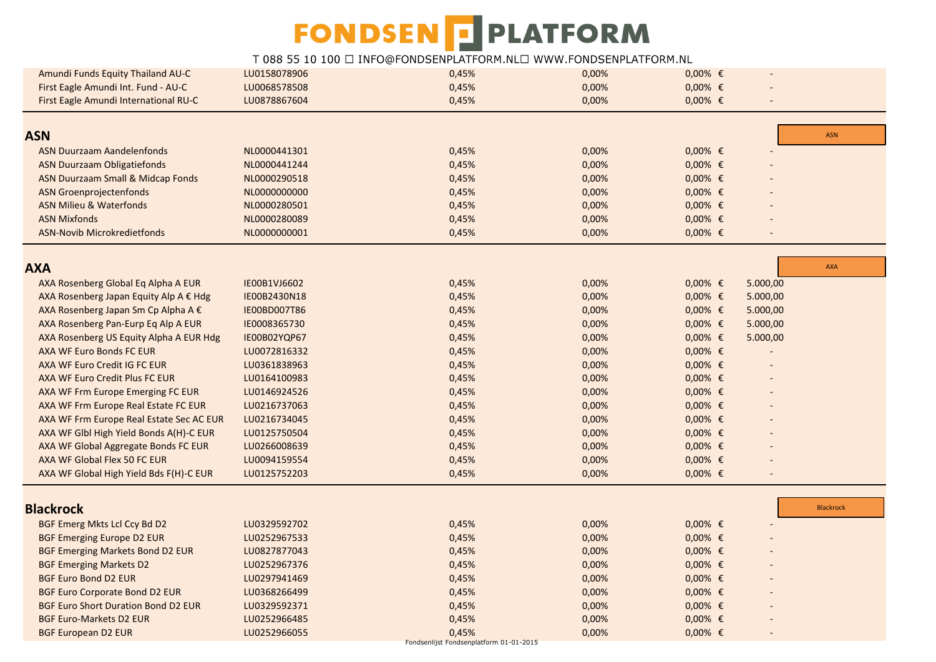| Amundi Funds Equity Thailand AU-C            | LU0158078906 | 0,45%                                   | 0,00% | $0,00%$ €  |          |                  |
|----------------------------------------------|--------------|-----------------------------------------|-------|------------|----------|------------------|
| First Eagle Amundi Int. Fund - AU-C          | LU0068578508 | 0,45%                                   | 0,00% | $0,00%$ €  |          |                  |
| First Eagle Amundi International RU-C        | LU0878867604 | 0,45%                                   | 0,00% | $0,00%$ €  |          |                  |
|                                              |              |                                         |       |            |          |                  |
| <b>ASN</b>                                   |              |                                         |       |            |          | <b>ASN</b>       |
| <b>ASN Duurzaam Aandelenfonds</b>            | NL0000441301 | 0,45%                                   | 0,00% | $0,00%$ €  |          |                  |
| <b>ASN Duurzaam Obligatiefonds</b>           | NL0000441244 | 0,45%                                   | 0,00% | $0,00%$ €  |          |                  |
| <b>ASN Duurzaam Small &amp; Midcap Fonds</b> | NL0000290518 | 0,45%                                   | 0,00% | $0,00%$ €  |          |                  |
| <b>ASN Groenprojectenfonds</b>               | NL0000000000 | 0,45%                                   | 0,00% | $0,00%$ €  |          |                  |
| <b>ASN Milieu &amp; Waterfonds</b>           | NL0000280501 | 0,45%                                   | 0,00% | $0,00%$ €  |          |                  |
| <b>ASN Mixfonds</b>                          | NL0000280089 | 0,45%                                   | 0,00% | $0,00%$ €  |          |                  |
| ASN-Novib Microkredietfonds                  | NL0000000001 | 0,45%                                   | 0,00% | $0,00%$ €  |          |                  |
|                                              |              |                                         |       |            |          |                  |
| <b>AXA</b>                                   |              |                                         |       |            |          | <b>AXA</b>       |
| AXA Rosenberg Global Eq Alpha A EUR          | IE00B1VJ6602 | 0,45%                                   | 0,00% | $0,00%$ €  | 5.000,00 |                  |
| AXA Rosenberg Japan Equity Alp A € Hdg       | IE00B2430N18 | 0,45%                                   | 0,00% | $0,00%$ €  | 5.000,00 |                  |
| AXA Rosenberg Japan Sm Cp Alpha A €          | IE00BD007T86 | 0,45%                                   | 0,00% | $0,00%$ €  | 5.000,00 |                  |
| AXA Rosenberg Pan-Eurp Eq Alp A EUR          | IE0008365730 | 0,45%                                   | 0,00% | $0,00%$ €  | 5.000,00 |                  |
| AXA Rosenberg US Equity Alpha A EUR Hdg      | IE00B02YQP67 | 0,45%                                   | 0,00% | $0,00%$ €  | 5.000,00 |                  |
| AXA WF Euro Bonds FC EUR                     | LU0072816332 | 0,45%                                   | 0,00% | $0,00%$ €  |          |                  |
| AXA WF Euro Credit IG FC EUR                 | LU0361838963 | 0,45%                                   | 0,00% | $0,00%$ €  |          |                  |
| AXA WF Euro Credit Plus FC EUR               | LU0164100983 | 0,45%                                   | 0,00% | $0,00%$ €  |          |                  |
| AXA WF Frm Europe Emerging FC EUR            | LU0146924526 | 0,45%                                   | 0,00% | $0,00%$ €  |          |                  |
| AXA WF Frm Europe Real Estate FC EUR         | LU0216737063 | 0,45%                                   | 0,00% | $0,00%$ €  |          |                  |
| AXA WF Frm Europe Real Estate Sec AC EUR     | LU0216734045 | 0,45%                                   | 0,00% | $0,00%$ €  |          |                  |
| AXA WF GIbl High Yield Bonds A(H)-C EUR      | LU0125750504 | 0,45%                                   | 0,00% | $0,00%$ €  |          |                  |
| AXA WF Global Aggregate Bonds FC EUR         | LU0266008639 | 0,45%                                   | 0,00% | $0,00%$ €  |          |                  |
| AXA WF Global Flex 50 FC EUR                 | LU0094159554 | 0,45%                                   | 0,00% | $0,00%$ €  |          |                  |
| AXA WF Global High Yield Bds F(H)-C EUR      | LU0125752203 | 0,45%                                   | 0,00% | $0,00%$ €  |          |                  |
|                                              |              |                                         |       |            |          |                  |
| <b>Blackrock</b>                             |              |                                         |       |            |          | <b>Blackrock</b> |
| BGF Emerg Mkts Lcl Ccy Bd D2                 | LU0329592702 | 0,45%                                   | 0,00% | $0,00%$ €  |          |                  |
| <b>BGF Emerging Europe D2 EUR</b>            | LU0252967533 | 0,45%                                   | 0,00% | $0,00%$ €  |          |                  |
| <b>BGF Emerging Markets Bond D2 EUR</b>      | LU0827877043 | 0,45%                                   | 0,00% | $0,00%$ €  |          |                  |
| <b>BGF Emerging Markets D2</b>               | LU0252967376 | 0,45%                                   | 0,00% | $0,00%$ €  |          |                  |
| <b>BGF Euro Bond D2 EUR</b>                  | LU0297941469 | 0,45%                                   | 0,00% | $0,00%$ €  |          |                  |
| <b>BGF Euro Corporate Bond D2 EUR</b>        | LU0368266499 | 0,45%                                   | 0,00% | $0,00%$ €  |          |                  |
| <b>BGF Euro Short Duration Bond D2 EUR</b>   | LU0329592371 | 0,45%                                   | 0,00% | $0,00%$ €  |          |                  |
| <b>BGF Euro-Markets D2 EUR</b>               | LU0252966485 | 0,45%                                   | 0,00% | $0,00\%$ € |          |                  |
| <b>BGF European D2 EUR</b>                   | LU0252966055 | 0,45%                                   | 0,00% | $0,00%$ €  |          |                  |
|                                              |              | Fondsenlijst Fondsenplatform 01-01-2015 |       |            |          |                  |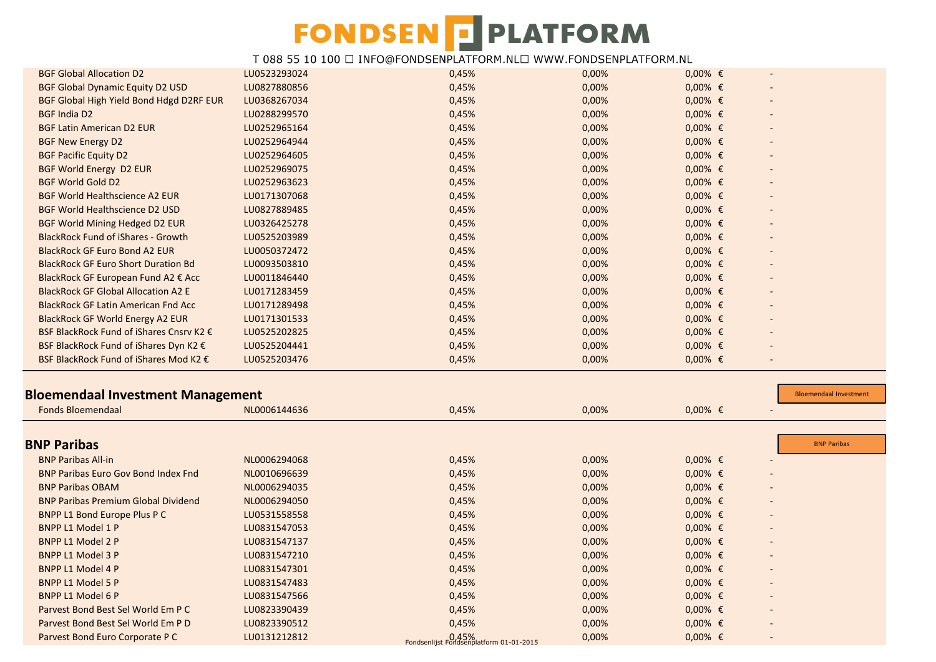| <b>BGF Global Allocation D2</b>                                      | LU0523293024 | 0,45% | 0,00% | $0,00%$ €      |                               |
|----------------------------------------------------------------------|--------------|-------|-------|----------------|-------------------------------|
| <b>BGF Global Dynamic Equity D2 USD</b>                              | LU0827880856 | 0,45% | 0,00% | $0,00%$ €      |                               |
| BGF Global High Yield Bond Hdgd D2RF EUR                             | LU0368267034 | 0,45% | 0,00% | $0,00%$ €      |                               |
| <b>BGF India D2</b>                                                  | LU0288299570 | 0,45% | 0,00% | $0,00%$ €      |                               |
| <b>BGF Latin American D2 EUR</b>                                     | LU0252965164 | 0,45% | 0,00% | $0,00\%$ $\in$ |                               |
| <b>BGF New Energy D2</b>                                             | LU0252964944 | 0,45% | 0,00% | $0,00%$ €      |                               |
| <b>BGF Pacific Equity D2</b>                                         | LU0252964605 | 0,45% | 0,00% | $0,00%$ €      |                               |
| <b>BGF World Energy D2 EUR</b>                                       | LU0252969075 | 0,45% | 0,00% | $0,00%$ €      |                               |
| <b>BGF World Gold D2</b>                                             | LU0252963623 | 0,45% | 0,00% | $0,00%$ €      |                               |
| <b>BGF World Healthscience A2 EUR</b>                                | LU0171307068 | 0,45% | 0,00% | $0,00%$ €      |                               |
| <b>BGF World Healthscience D2 USD</b>                                | LU0827889485 | 0,45% | 0,00% | $0,00%$ €      |                               |
| BGF World Mining Hedged D2 EUR                                       | LU0326425278 | 0,45% | 0,00% | $0,00%$ €      |                               |
| <b>BlackRock Fund of iShares - Growth</b>                            | LU0525203989 | 0,45% | 0,00% | $0,00%$ €      |                               |
| <b>BlackRock GF Euro Bond A2 EUR</b>                                 | LU0050372472 | 0,45% | 0,00% | $0,00%$ €      |                               |
| <b>BlackRock GF Euro Short Duration Bd</b>                           | LU0093503810 | 0,45% | 0,00% | $0,00%$ €      |                               |
| BlackRock GF European Fund A2 € Acc                                  | LU0011846440 | 0,45% | 0,00% | $0,00%$ €      |                               |
| <b>BlackRock GF Global Allocation A2 E</b>                           | LU0171283459 | 0,45% | 0,00% | $0,00%$ €      |                               |
| <b>BlackRock GF Latin American Fnd Acc</b>                           | LU0171289498 | 0,45% | 0,00% | $0,00%$ €      |                               |
| <b>BlackRock GF World Energy A2 EUR</b>                              | LU0171301533 | 0,45% | 0,00% | $0,00%$ €      |                               |
| BSF BlackRock Fund of iShares Cnsrv K2 €                             | LU0525202825 | 0,45% | 0,00% | $0,00%$ €      |                               |
| BSF BlackRock Fund of iShares Dyn K2 €                               | LU0525204441 | 0,45% | 0,00% | $0,00%$ €      |                               |
| BSF BlackRock Fund of iShares Mod K2 €                               | LU0525203476 | 0,45% | 0,00% | $0,00%$ €      | $\overline{a}$                |
|                                                                      |              |       |       |                |                               |
|                                                                      |              |       |       |                |                               |
|                                                                      |              |       |       |                | <b>Bloemendaal Investment</b> |
| <b>Bloemendaal Investment Management</b><br><b>Fonds Bloemendaal</b> | NL0006144636 | 0,45% | 0,00% | $0,00%$ €      |                               |
|                                                                      |              |       |       |                |                               |
| <b>BNP Paribas</b>                                                   |              |       |       |                | <b>BNP Paribas</b>            |
| <b>BNP Paribas All-in</b>                                            | NL0006294068 | 0,45% | 0,00% | $0,00%$ €      |                               |
| <b>BNP Paribas Euro Gov Bond Index Fnd</b>                           | NL0010696639 | 0,45% | 0,00% | $0,00%$ €      |                               |
| <b>BNP Paribas OBAM</b>                                              | NL0006294035 | 0,45% | 0,00% | $0,00%$ €      |                               |
| <b>BNP Paribas Premium Global Dividend</b>                           | NL0006294050 | 0,45% | 0,00% | $0,00%$ €      |                               |
| <b>BNPP L1 Bond Europe Plus P C</b>                                  | LU0531558558 | 0,45% | 0,00% | $0,00%$ €      |                               |
| <b>BNPP L1 Model 1 P</b>                                             | LU0831547053 | 0,45% | 0,00% | $0,00%$ €      |                               |
| <b>BNPP L1 Model 2 P</b>                                             | LU0831547137 | 0,45% | 0,00% | $0,00%$ €      |                               |
| <b>BNPP L1 Model 3 P</b>                                             | LU0831547210 | 0,45% | 0,00% | $0,00%$ €      |                               |
| <b>BNPP L1 Model 4 P</b>                                             | LU0831547301 | 0,45% | 0,00% | $0,00%$ €      |                               |
| <b>BNPP L1 Model 5 P</b>                                             | LU0831547483 | 0,45% | 0,00% | $0,00%$ €      |                               |
| <b>BNPP L1 Model 6 P</b>                                             | LU0831547566 | 0,45% | 0,00% | $0,00%$ €      |                               |
| Parvest Bond Best Sel World Em P C                                   | LU0823390439 | 0,45% | 0,00% | $0,00%$ €      |                               |
| Parvest Bond Best Sel World Em P D                                   | LU0823390512 | 0,45% | 0,00% | $0,00%$ €      |                               |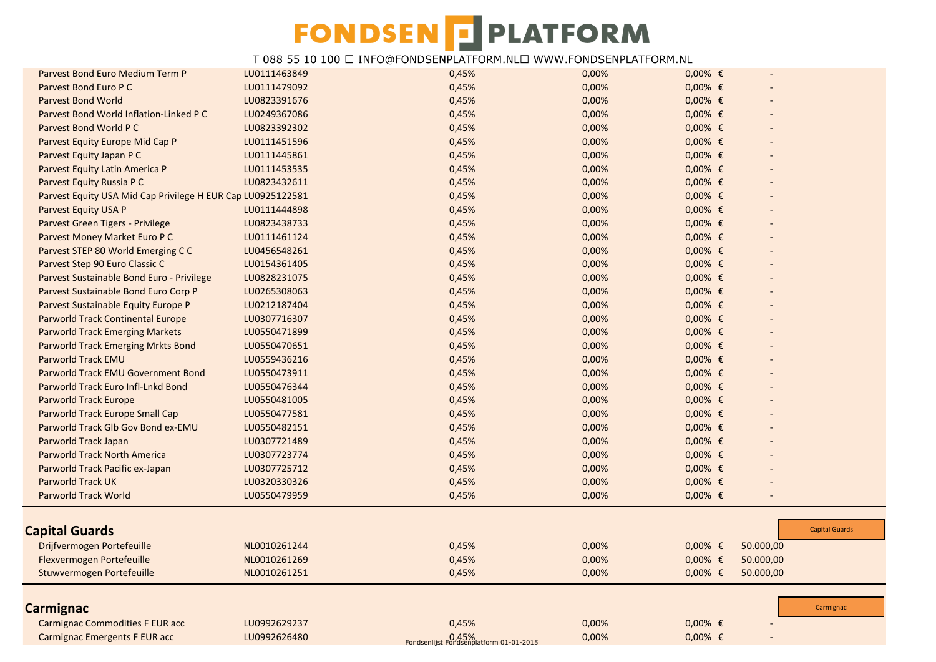| Parvest Bond Euro Medium Term P                             | LU0111463849 | 0,45%                                            | 0,00% | $0,00%$ € |           |                       |
|-------------------------------------------------------------|--------------|--------------------------------------------------|-------|-----------|-----------|-----------------------|
| Parvest Bond Euro P C                                       | LU0111479092 | 0,45%                                            | 0,00% | $0,00%$ € |           |                       |
| <b>Parvest Bond World</b>                                   | LU0823391676 | 0,45%                                            | 0,00% | $0,00%$ € |           |                       |
| Parvest Bond World Inflation-Linked P C                     | LU0249367086 | 0,45%                                            | 0,00% | $0,00%$ € |           |                       |
| Parvest Bond World P C                                      | LU0823392302 | 0,45%                                            | 0,00% | $0,00%$ € |           |                       |
| Parvest Equity Europe Mid Cap P                             | LU0111451596 | 0,45%                                            | 0,00% | $0,00%$ € |           |                       |
| Parvest Equity Japan P C                                    | LU0111445861 | 0,45%                                            | 0,00% | $0,00%$ € |           |                       |
| Parvest Equity Latin America P                              | LU0111453535 | 0,45%                                            | 0,00% | $0,00%$ € |           |                       |
| Parvest Equity Russia P C                                   | LU0823432611 | 0,45%                                            | 0,00% | $0,00%$ € |           |                       |
| Parvest Equity USA Mid Cap Privilege H EUR Cap LU0925122581 |              | 0,45%                                            | 0,00% | $0,00%$ € |           |                       |
| Parvest Equity USA P                                        | LU0111444898 | 0,45%                                            | 0,00% | $0,00%$ € |           |                       |
| Parvest Green Tigers - Privilege                            | LU0823438733 | 0,45%                                            | 0,00% | $0,00%$ € |           |                       |
| Parvest Money Market Euro P C                               | LU0111461124 | 0,45%                                            | 0,00% | $0,00%$ € |           |                       |
| Parvest STEP 80 World Emerging C C                          | LU0456548261 | 0,45%                                            | 0,00% | $0,00%$ € |           |                       |
| Parvest Step 90 Euro Classic C                              | LU0154361405 | 0,45%                                            | 0,00% | $0,00%$ € |           |                       |
| Parvest Sustainable Bond Euro - Privilege                   | LU0828231075 | 0,45%                                            | 0,00% | $0,00%$ € |           |                       |
| Parvest Sustainable Bond Euro Corp P                        | LU0265308063 | 0,45%                                            | 0,00% | $0,00%$ € |           |                       |
| Parvest Sustainable Equity Europe P                         | LU0212187404 | 0,45%                                            | 0,00% | $0,00%$ € |           |                       |
| <b>Parworld Track Continental Europe</b>                    | LU0307716307 | 0,45%                                            | 0,00% | $0,00%$ € |           |                       |
| <b>Parworld Track Emerging Markets</b>                      | LU0550471899 | 0,45%                                            | 0,00% | $0,00%$ € |           |                       |
| <b>Parworld Track Emerging Mrkts Bond</b>                   | LU0550470651 | 0,45%                                            | 0,00% | $0,00%$ € |           |                       |
| <b>Parworld Track EMU</b>                                   | LU0559436216 | 0,45%                                            | 0,00% | $0,00%$ € |           |                       |
| Parworld Track EMU Government Bond                          | LU0550473911 | 0,45%                                            | 0,00% | $0,00%$ € |           |                       |
| Parworld Track Euro Infl-Lnkd Bond                          | LU0550476344 | 0,45%                                            | 0,00% | $0,00%$ € |           |                       |
| <b>Parworld Track Europe</b>                                | LU0550481005 | 0,45%                                            | 0,00% | $0,00%$ € |           |                       |
| Parworld Track Europe Small Cap                             | LU0550477581 | 0,45%                                            | 0,00% | $0,00%$ € |           |                       |
| Parworld Track Glb Gov Bond ex-EMU                          | LU0550482151 | 0,45%                                            | 0,00% | $0,00%$ € |           |                       |
| Parworld Track Japan                                        | LU0307721489 | 0,45%                                            | 0,00% | $0,00%$ € |           |                       |
| <b>Parworld Track North America</b>                         | LU0307723774 | 0,45%                                            | 0,00% | $0,00%$ € |           |                       |
| Parworld Track Pacific ex-Japan                             | LU0307725712 | 0,45%                                            | 0,00% | $0,00%$ € |           |                       |
| <b>Parworld Track UK</b>                                    | LU0320330326 | 0,45%                                            | 0,00% | $0,00%$ € |           |                       |
| <b>Parworld Track World</b>                                 | LU0550479959 | 0,45%                                            | 0,00% | $0,00%$ € |           |                       |
|                                                             |              |                                                  |       |           |           |                       |
| <b>Capital Guards</b>                                       |              |                                                  |       |           |           | <b>Capital Guards</b> |
| Drijfvermogen Portefeuille                                  | NL0010261244 | 0,45%                                            | 0,00% | $0,00%$ € | 50.000,00 |                       |
| Flexvermogen Portefeuille                                   | NL0010261269 | 0,45%                                            | 0,00% | $0,00%$ € | 50.000,00 |                       |
| Stuwvermogen Portefeuille                                   | NL0010261251 | 0,45%                                            | 0,00% | $0,00%$ € | 50.000,00 |                       |
|                                                             |              |                                                  |       |           |           |                       |
| Carmignac                                                   |              |                                                  |       |           |           | Carmignac             |
| <b>Carmignac Commodities F EUR acc</b>                      | LU0992629237 | 0,45%                                            | 0,00% | $0,00%$ € |           |                       |
| Carmignac Emergents F EUR acc                               | LU0992626480 | D.45%<br>Fondsenlijst Fondsenplatform 01-01-2015 | 0,00% | $0,00%$ € |           |                       |
|                                                             |              |                                                  |       |           |           |                       |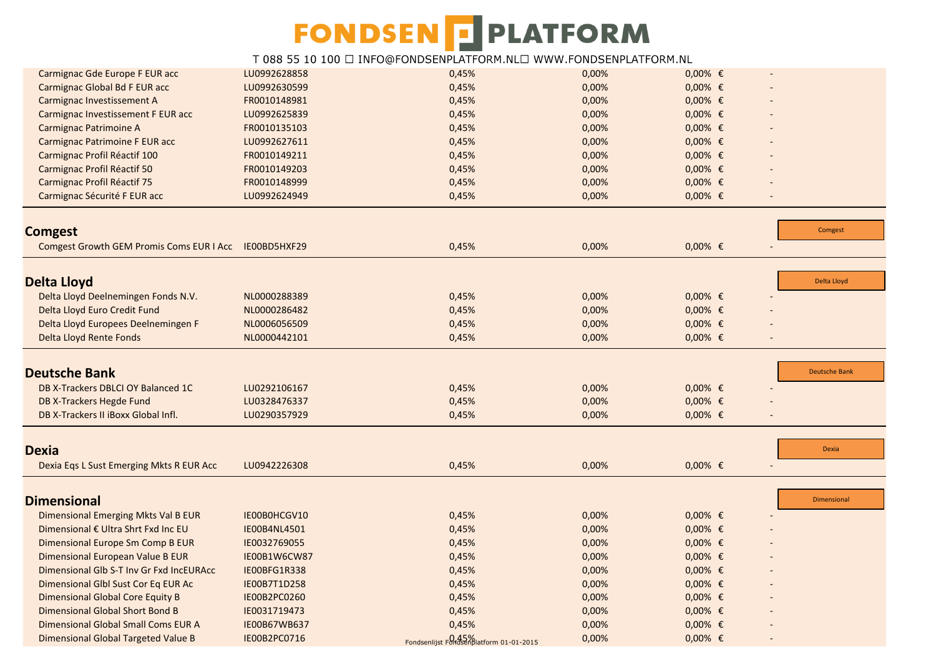| Carmignac Gde Europe F EUR acc                        | LU0992628858 | 0,45%                                       | 0,00% | $0,00%$ € |                      |
|-------------------------------------------------------|--------------|---------------------------------------------|-------|-----------|----------------------|
| Carmignac Global Bd F EUR acc                         | LU0992630599 | 0,45%                                       | 0,00% | $0,00%$ € |                      |
| Carmignac Investissement A                            | FR0010148981 | 0,45%                                       | 0,00% | $0,00%$ € |                      |
| Carmignac Investissement F EUR acc                    | LU0992625839 | 0,45%                                       | 0,00% | $0,00%$ € |                      |
| Carmignac Patrimoine A                                | FR0010135103 | 0,45%                                       | 0,00% | $0,00%$ € |                      |
| Carmignac Patrimoine F EUR acc                        | LU0992627611 | 0,45%                                       | 0,00% | $0,00%$ € |                      |
| Carmignac Profil Réactif 100                          | FR0010149211 | 0,45%                                       | 0,00% | $0,00%$ € |                      |
| Carmignac Profil Réactif 50                           | FR0010149203 | 0,45%                                       | 0,00% | $0,00%$ € |                      |
| Carmignac Profil Réactif 75                           | FR0010148999 | 0,45%                                       | 0,00% | $0,00%$ € |                      |
| Carmignac Sécurité F EUR acc                          | LU0992624949 | 0,45%                                       | 0,00% | $0,00%$ € |                      |
|                                                       |              |                                             |       |           |                      |
| <b>Comgest</b>                                        |              |                                             |       |           | Comgest              |
| Comgest Growth GEM Promis Coms EUR I Acc IE00BD5HXF29 |              | 0,45%                                       | 0,00% | $0,00%$ € |                      |
| <b>Delta Lloyd</b>                                    |              |                                             |       |           | Delta Lloyd          |
| Delta Lloyd Deelnemingen Fonds N.V.                   | NL0000288389 | 0,45%                                       | 0,00% | $0,00%$ € |                      |
| Delta Lloyd Euro Credit Fund                          | NL0000286482 | 0,45%                                       | 0,00% | $0,00%$ € |                      |
| Delta Lloyd Europees Deelnemingen F                   | NL0006056509 | 0,45%                                       | 0,00% | $0,00%$ € |                      |
| Delta Lloyd Rente Fonds                               | NL0000442101 | 0,45%                                       | 0,00% | $0,00%$ € |                      |
|                                                       |              |                                             |       |           |                      |
| <b>Deutsche Bank</b>                                  |              |                                             |       |           | <b>Deutsche Bank</b> |
| DB X-Trackers DBLCI OY Balanced 1C                    | LU0292106167 | 0,45%                                       | 0,00% | $0,00%$ € |                      |
| DB X-Trackers Hegde Fund                              | LU0328476337 | 0,45%                                       | 0,00% | $0,00%$ € |                      |
| DB X-Trackers II iBoxx Global Infl.                   | LU0290357929 | 0,45%                                       | 0,00% | $0,00%$ € |                      |
| <b>Dexia</b>                                          |              |                                             |       |           | <b>Dexia</b>         |
|                                                       |              |                                             |       |           |                      |
| Dexia Eqs L Sust Emerging Mkts R EUR Acc              | LU0942226308 | 0,45%                                       | 0,00% | $0,00%$ € |                      |
| <b>Dimensional</b>                                    |              |                                             |       |           | Dimensional          |
| Dimensional Emerging Mkts Val B EUR                   | IE00B0HCGV10 | 0,45%                                       | 0,00% | $0,00%$ € |                      |
| Dimensional € Ultra Shrt Fxd Inc EU                   | IE00B4NL4501 | 0,45%                                       | 0,00% | $0,00%$ € |                      |
| Dimensional Europe Sm Comp B EUR                      | IE0032769055 | 0,45%                                       | 0,00% | $0,00%$ € |                      |
| Dimensional European Value B EUR                      | IE00B1W6CW87 | 0,45%                                       | 0,00% | $0,00%$ € |                      |
| Dimensional Glb S-T Inv Gr Fxd IncEURAcc              | IE00BFG1R338 | 0,45%                                       | 0,00% | $0,00%$ € |                      |
| Dimensional Glbl Sust Cor Eq EUR Ac                   | IE00B7T1D258 | 0,45%                                       | 0,00% | $0,00%$ € |                      |
| <b>Dimensional Global Core Equity B</b>               | IE00B2PC0260 | 0,45%                                       | 0,00% | $0,00%$ € |                      |
| <b>Dimensional Global Short Bond B</b>                | IE0031719473 | 0,45%                                       | 0,00% | $0,00%$ € |                      |
| Dimensional Global Small Coms EUR A                   | IE00B67WB637 | 0,45%                                       | 0,00% | $0,00%$ € |                      |
| Dimensional Global Targeted Value B                   | IE00B2PC0716 | Fondsenlijst Fondsener Gatewalder 1-01-2015 | 0,00% | $0,00%$ € |                      |
|                                                       |              |                                             |       |           |                      |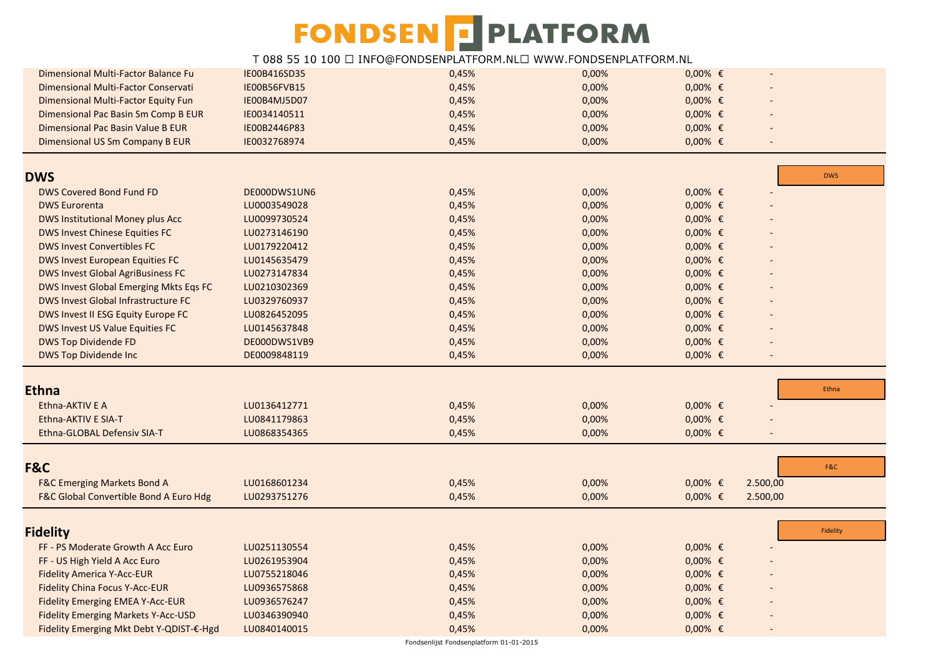| Dimensional Multi-Factor Balance Fu               | IE00B416SD35 | 0,45% | 0,00% | $0,00%$ € |                |            |
|---------------------------------------------------|--------------|-------|-------|-----------|----------------|------------|
| Dimensional Multi-Factor Conservati               | IE00B56FVB15 | 0,45% | 0,00% | $0,00%$ € |                |            |
| Dimensional Multi-Factor Equity Fun               | IE00B4MJ5D07 | 0,45% | 0,00% | $0,00%$ € |                |            |
| Dimensional Pac Basin Sm Comp B EUR               | IE0034140511 | 0,45% | 0,00% | $0,00%$ € |                |            |
| Dimensional Pac Basin Value B EUR                 | IE00B2446P83 | 0,45% | 0,00% | $0,00%$ € |                |            |
| Dimensional US Sm Company B EUR                   | IE0032768974 | 0,45% | 0,00% | $0,00%$ € | $\blacksquare$ |            |
|                                                   |              |       |       |           |                |            |
| <b>DWS</b>                                        |              |       |       |           |                | <b>DWS</b> |
| <b>DWS Covered Bond Fund FD</b>                   | DE000DWS1UN6 | 0,45% | 0,00% | $0,00%$ € |                |            |
| <b>DWS Eurorenta</b>                              | LU0003549028 | 0,45% | 0,00% | $0,00%$ € |                |            |
| DWS Institutional Money plus Acc                  | LU0099730524 | 0,45% | 0,00% | $0,00%$ € |                |            |
| <b>DWS Invest Chinese Equities FC</b>             | LU0273146190 | 0,45% | 0,00% | $0,00%$ € |                |            |
| <b>DWS Invest Convertibles FC</b>                 | LU0179220412 | 0,45% | 0,00% | $0,00%$ € |                |            |
| <b>DWS Invest European Equities FC</b>            | LU0145635479 | 0,45% | 0,00% | $0,00%$ € |                |            |
| <b>DWS Invest Global AgriBusiness FC</b>          | LU0273147834 | 0,45% | 0,00% | $0,00%$ € |                |            |
| DWS Invest Global Emerging Mkts Eqs FC            | LU0210302369 | 0,45% | 0,00% | $0,00%$ € |                |            |
| DWS Invest Global Infrastructure FC               | LU0329760937 | 0,45% | 0,00% | $0,00%$ € |                |            |
| DWS Invest II ESG Equity Europe FC                | LU0826452095 | 0,45% | 0,00% | $0,00%$ € |                |            |
| DWS Invest US Value Equities FC                   | LU0145637848 | 0,45% | 0,00% | $0,00%$ € |                |            |
| <b>DWS Top Dividende FD</b>                       | DE000DWS1VB9 | 0,45% | 0,00% | $0,00%$ € |                |            |
| <b>DWS Top Dividende Inc</b>                      | DE0009848119 | 0,45% | 0,00% | $0,00%$ € |                |            |
|                                                   |              |       |       |           |                |            |
| <b>Ethna</b>                                      |              |       |       |           |                | Ethna      |
| Ethna-AKTIV E A                                   | LU0136412771 | 0,45% | 0,00% | $0,00%$ € |                |            |
| Ethna-AKTIV E SIA-T                               | LU0841179863 | 0,45% | 0,00% | $0,00%$ € |                |            |
| Ethna-GLOBAL Defensiv SIA-T                       | LU0868354365 | 0,45% | 0,00% | $0,00%$ € |                |            |
|                                                   |              |       |       |           |                |            |
| F&C                                               |              |       |       |           |                | F&C        |
| <b>F&amp;C Emerging Markets Bond A</b>            | LU0168601234 | 0,45% | 0,00% | $0,00%$ € | 2.500,00       |            |
| <b>F&amp;C Global Convertible Bond A Euro Hdg</b> | LU0293751276 | 0,45% | 0,00% | $0,00%$ € | 2.500,00       |            |
|                                                   |              |       |       |           |                |            |
| <b>Fidelity</b>                                   |              |       |       |           |                | Fidelity   |
| FF - PS Moderate Growth A Acc Euro                | LU0251130554 | 0,45% | 0,00% | $0,00%$ € |                |            |
| FF - US High Yield A Acc Euro                     | LU0261953904 | 0,45% | 0,00% | $0,00%$ € |                |            |
| <b>Fidelity America Y-Acc-EUR</b>                 | LU0755218046 | 0,45% | 0,00% | $0,00%$ € |                |            |
| <b>Fidelity China Focus Y-Acc-EUR</b>             | LU0936575868 | 0,45% | 0,00% | $0,00%$ € |                |            |
| <b>Fidelity Emerging EMEA Y-Acc-EUR</b>           | LU0936576247 | 0,45% | 0,00% | $0,00%$ € |                |            |
| <b>Fidelity Emerging Markets Y-Acc-USD</b>        | LU0346390940 | 0,45% | 0,00% | $0,00%$ € |                |            |
| Fidelity Emerging Mkt Debt Y-QDIST-€-Hgd          | LU0840140015 | 0,45% | 0,00% | $0,00%$ € |                |            |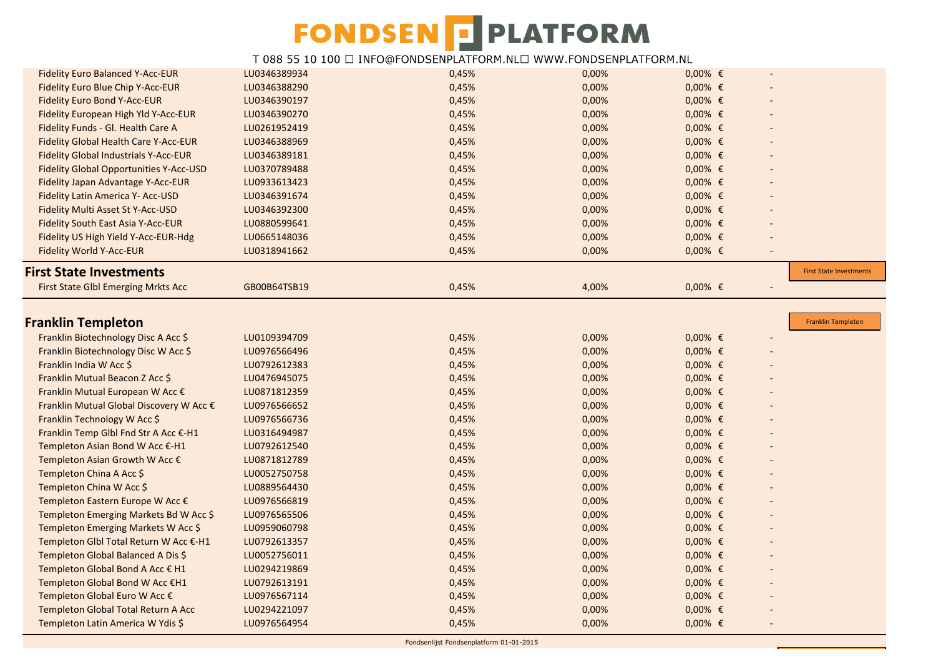| <b>First State Investments</b> |
|--------------------------------|
|                                |
|                                |
| <b>Franklin Templeton</b>      |
|                                |
|                                |
|                                |
|                                |
|                                |
|                                |
|                                |
|                                |
|                                |
|                                |
|                                |
|                                |
|                                |
|                                |
|                                |
|                                |
|                                |
|                                |
|                                |
|                                |
|                                |
|                                |
|                                |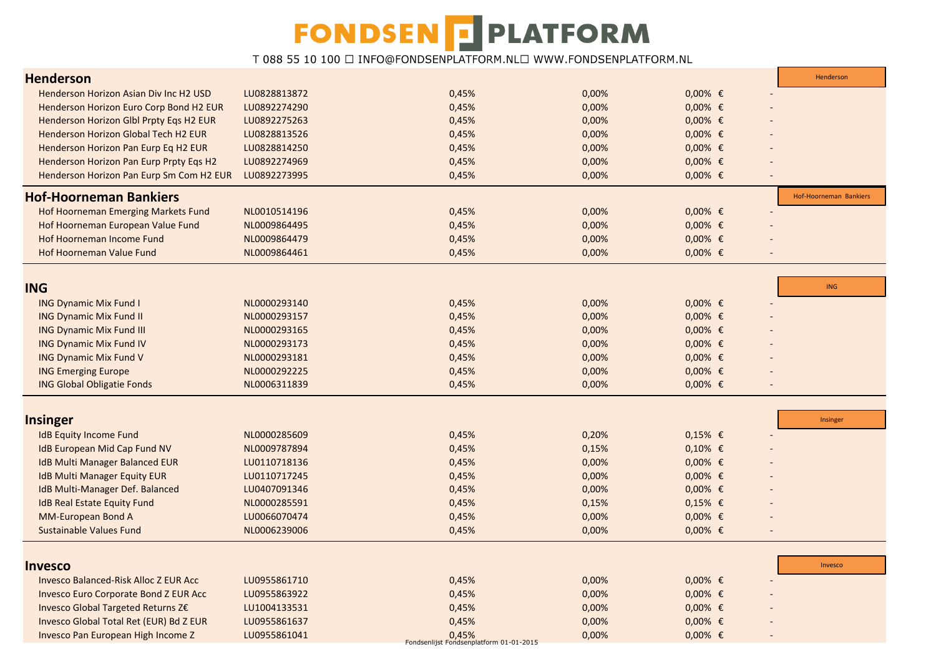| <b>Henderson</b>                             |              |                                         |       |                                | Henderson              |
|----------------------------------------------|--------------|-----------------------------------------|-------|--------------------------------|------------------------|
| Henderson Horizon Asian Div Inc H2 USD       | LU0828813872 | 0,45%                                   | 0,00% | $0,00%$ €                      |                        |
| Henderson Horizon Euro Corp Bond H2 EUR      | LU0892274290 | 0,45%                                   | 0,00% | $0,00%$ €                      |                        |
| Henderson Horizon Glbl Prpty Eqs H2 EUR      | LU0892275263 | 0,45%                                   | 0,00% | $0,00%$ €                      |                        |
| Henderson Horizon Global Tech H2 EUR         | LU0828813526 | 0,45%                                   | 0,00% | $0,00%$ €                      |                        |
| Henderson Horizon Pan Eurp Eq H2 EUR         | LU0828814250 | 0,45%                                   | 0,00% | $0,00%$ €                      |                        |
| Henderson Horizon Pan Eurp Prpty Eqs H2      | LU0892274969 | 0,45%                                   | 0,00% | $0,00%$ €                      |                        |
| Henderson Horizon Pan Eurp Sm Com H2 EUR     | LU0892273995 | 0,45%                                   | 0,00% | $0,00%$ €                      |                        |
| <b>Hof-Hoorneman Bankiers</b>                |              |                                         |       |                                | Hof-Hoorneman Bankiers |
| Hof Hoorneman Emerging Markets Fund          | NL0010514196 | 0,45%                                   | 0,00% | $0,00%$ €                      |                        |
| Hof Hoorneman European Value Fund            | NL0009864495 | 0,45%                                   | 0,00% | $0,00%$ €                      |                        |
| Hof Hoorneman Income Fund                    | NL0009864479 | 0,45%                                   | 0,00% | $0,00%$ €                      |                        |
| Hof Hoorneman Value Fund                     | NL0009864461 | 0,45%                                   | 0,00% | $0,00%$ €                      |                        |
|                                              |              |                                         |       |                                |                        |
| <b>ING</b>                                   |              |                                         |       |                                | <b>ING</b>             |
| <b>ING Dynamic Mix Fund I</b>                | NL0000293140 | 0,45%                                   | 0,00% | $0,00%$ €                      |                        |
| <b>ING Dynamic Mix Fund II</b>               | NL0000293157 | 0,45%                                   | 0,00% | $0,00%$ €                      |                        |
| <b>ING Dynamic Mix Fund III</b>              | NL0000293165 | 0,45%                                   | 0,00% | $0,00%$ €                      |                        |
| <b>ING Dynamic Mix Fund IV</b>               | NL0000293173 | 0,45%                                   | 0,00% | $0,00%$ €                      |                        |
| <b>ING Dynamic Mix Fund V</b>                | NL0000293181 | 0,45%                                   | 0,00% | $0,00%$ €                      |                        |
| <b>ING Emerging Europe</b>                   | NL0000292225 | 0,45%                                   | 0,00% | $0,00%$ €                      |                        |
| <b>ING Global Obligatie Fonds</b>            | NL0006311839 | 0,45%                                   | 0,00% | $0,00%$ €                      |                        |
|                                              |              |                                         |       |                                |                        |
| <b>Insinger</b>                              |              |                                         |       |                                | Insinger               |
| <b>IdB Equity Income Fund</b>                | NL0000285609 | 0,45%                                   | 0,20% | $0,15%$ €                      |                        |
| IdB European Mid Cap Fund NV                 | NL0009787894 | 0,45%                                   | 0,15% | $0,10%$ €                      |                        |
| <b>IdB Multi Manager Balanced EUR</b>        | LU0110718136 | 0,45%                                   | 0,00% | $0,00%$ €                      |                        |
| <b>IdB Multi Manager Equity EUR</b>          | LU0110717245 | 0,45%                                   | 0,00% | $0,00%$ €                      |                        |
| IdB Multi-Manager Def. Balanced              | LU0407091346 | 0,45%                                   | 0,00% | $0,00%$ €                      |                        |
| <b>IdB Real Estate Equity Fund</b>           | NL0000285591 | 0,45%                                   | 0,15% | $0,15%$ €                      |                        |
| <b>MM-European Bond A</b>                    | LU0066070474 | 0,45%                                   | 0,00% | $0,00%$ €                      |                        |
| <b>Sustainable Values Fund</b>               | NL0006239006 | 0,45%                                   | 0,00% | $0,00%$ €<br>$\qquad \qquad -$ |                        |
|                                              |              |                                         |       |                                |                        |
| <b>Invesco</b>                               |              |                                         |       |                                | Invesco                |
| <b>Invesco Balanced-Risk Alloc Z EUR Acc</b> | LU0955861710 | 0,45%                                   | 0,00% | $0,00%$ €                      |                        |
| <b>Invesco Euro Corporate Bond Z EUR Acc</b> | LU0955863922 | 0,45%                                   | 0,00% | $0,00%$ €                      |                        |
| Invesco Global Targeted Returns Z€           | LU1004133531 | 0,45%                                   | 0,00% | $0,00%$ €                      |                        |
| Invesco Global Total Ret (EUR) Bd Z EUR      | LU0955861637 | 0,45%                                   | 0,00% | $0,00%$ €                      |                        |
| Invesco Pan European High Income Z           | LU0955861041 | 0,45%                                   | 0,00% | $0,00%$ €                      |                        |
|                                              |              | Fondsenlijst Fondsenplatform 01-01-2015 |       |                                |                        |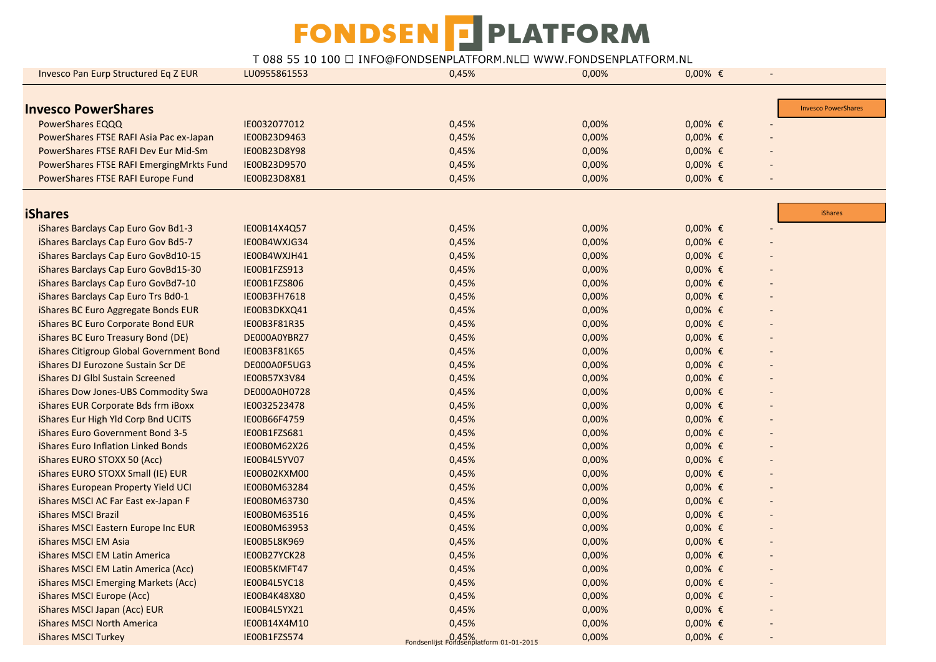| <b>Invesco Pan Eurp Structured Eq Z EUR</b> | LU0955861553 | 0,45%                                            | 0,00% | $0,00%$ € | $\blacksquare$ |                            |
|---------------------------------------------|--------------|--------------------------------------------------|-------|-----------|----------------|----------------------------|
|                                             |              |                                                  |       |           |                |                            |
| <b>Invesco PowerShares</b>                  |              |                                                  |       |           |                | <b>Invesco PowerShares</b> |
| PowerShares EQQQ                            | IE0032077012 | 0,45%                                            | 0,00% | $0,00%$ € |                |                            |
| PowerShares FTSE RAFI Asia Pac ex-Japan     | IE00B23D9463 | 0,45%                                            | 0,00% | $0,00%$ € |                |                            |
| PowerShares FTSE RAFI Dev Eur Mid-Sm        | IE00B23D8Y98 | 0,45%                                            | 0,00% | $0,00%$ € |                |                            |
| PowerShares FTSE RAFI EmergingMrkts Fund    | IE00B23D9570 | 0,45%                                            | 0,00% | $0,00%$ € |                |                            |
| PowerShares FTSE RAFI Europe Fund           | IE00B23D8X81 | 0,45%                                            | 0,00% | $0,00%$ € |                |                            |
|                                             |              |                                                  |       |           |                |                            |
| <b>iShares</b>                              |              |                                                  |       |           |                | <b>iShares</b>             |
| iShares Barclays Cap Euro Gov Bd1-3         | IE00B14X4Q57 | 0,45%                                            | 0,00% | $0,00%$ € |                |                            |
| iShares Barclays Cap Euro Gov Bd5-7         | IE00B4WXJG34 | 0,45%                                            | 0,00% | $0,00%$ € |                |                            |
| iShares Barclays Cap Euro GovBd10-15        | IE00B4WXJH41 | 0,45%                                            | 0,00% | $0,00%$ € |                |                            |
| iShares Barclays Cap Euro GovBd15-30        | IE00B1FZS913 | 0,45%                                            | 0,00% | $0,00%$ € |                |                            |
| iShares Barclays Cap Euro GovBd7-10         | IE00B1FZS806 | 0,45%                                            | 0,00% | $0,00%$ € |                |                            |
| iShares Barclays Cap Euro Trs Bd0-1         | IE00B3FH7618 | 0,45%                                            | 0,00% | $0,00%$ € |                |                            |
| iShares BC Euro Aggregate Bonds EUR         | IE00B3DKXQ41 | 0,45%                                            | 0,00% | $0,00%$ € |                |                            |
| iShares BC Euro Corporate Bond EUR          | IE00B3F81R35 | 0,45%                                            | 0,00% | $0,00%$ € |                |                            |
| iShares BC Euro Treasury Bond (DE)          | DE000A0YBRZ7 | 0,45%                                            | 0,00% | $0,00%$ € |                |                            |
| iShares Citigroup Global Government Bond    | IE00B3F81K65 | 0,45%                                            | 0,00% | $0,00%$ € |                |                            |
| iShares DJ Eurozone Sustain Scr DE          | DE000A0F5UG3 | 0,45%                                            | 0,00% | $0,00%$ € |                |                            |
| iShares DJ Glbl Sustain Screened            | IE00B57X3V84 | 0,45%                                            | 0,00% | $0,00%$ € |                |                            |
| iShares Dow Jones-UBS Commodity Swa         | DE000A0H0728 | 0,45%                                            | 0,00% | $0,00%$ € |                |                            |
| iShares EUR Corporate Bds frm iBoxx         | IE0032523478 | 0,45%                                            | 0,00% | $0,00%$ € |                |                            |
| iShares Eur High Yld Corp Bnd UCITS         | IE00B66F4759 | 0,45%                                            | 0,00% | $0,00%$ € |                |                            |
| iShares Euro Government Bond 3-5            | IE00B1FZS681 | 0,45%                                            | 0,00% | $0,00%$ € |                |                            |
| iShares Euro Inflation Linked Bonds         | IE00B0M62X26 | 0,45%                                            | 0,00% | $0,00%$ € |                |                            |
| iShares EURO STOXX 50 (Acc)                 | IE00B4L5YV07 | 0,45%                                            | 0,00% | $0,00%$ € |                |                            |
| iShares EURO STOXX Small (IE) EUR           | IE00B02KXM00 | 0,45%                                            | 0,00% | $0,00%$ € |                |                            |
| iShares European Property Yield UCI         | IE00B0M63284 | 0,45%                                            | 0,00% | $0,00%$ € |                |                            |
| iShares MSCI AC Far East ex-Japan F         | IE00B0M63730 | 0,45%                                            | 0,00% | $0,00%$ € |                |                            |
| <b>iShares MSCI Brazil</b>                  | IE00B0M63516 | 0,45%                                            | 0,00% | $0,00%$ € |                |                            |
| iShares MSCI Eastern Europe Inc EUR         | IE00B0M63953 | 0,45%                                            | 0,00% | $0,00%$ € |                |                            |
| iShares MSCI EM Asia                        | IE00B5L8K969 | 0,45%                                            | 0,00% | $0,00%$ € |                |                            |
| iShares MSCI EM Latin America               | IE00B27YCK28 | 0,45%                                            | 0,00% | $0,00%$ € |                |                            |
| iShares MSCI EM Latin America (Acc)         | IE00B5KMFT47 | 0,45%                                            | 0,00% | $0,00%$ € |                |                            |
| iShares MSCI Emerging Markets (Acc)         | IE00B4L5YC18 | 0,45%                                            | 0,00% | $0,00%$ € |                |                            |
| iShares MSCI Europe (Acc)                   | IE00B4K48X80 | 0,45%                                            | 0,00% | $0,00%$ € |                |                            |
| iShares MSCI Japan (Acc) EUR                | IE00B4L5YX21 | 0,45%                                            | 0,00% | $0,00%$ € |                |                            |
| iShares MSCI North America                  | IE00B14X4M10 | 0,45%                                            | 0,00% | $0,00%$ € |                |                            |
| iShares MSCI Turkey                         | IE00B1FZS574 |                                                  | 0,00% | $0,00%$ € |                |                            |
|                                             |              | D.45%<br>Fondsenlijst Fondsenplatform 01-01-2015 |       |           |                |                            |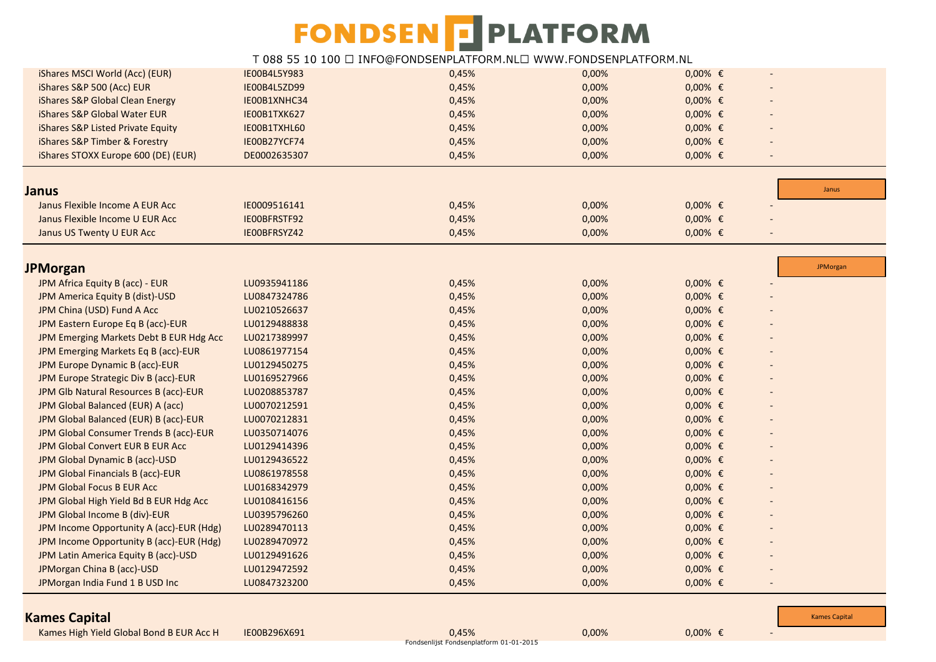### T 088 55 10 100 □ INFO@FONDSENPLATFORM.NL□ WWW.FONDSENPLATFORM.NL

| iShares MSCI World (Acc) (EUR)           | IE00B4L5Y983 | 0,45% | 0,00% | $0,00%$ € |                          |          |
|------------------------------------------|--------------|-------|-------|-----------|--------------------------|----------|
| iShares S&P 500 (Acc) EUR                | IE00B4L5ZD99 | 0,45% | 0,00% | $0,00%$ € |                          |          |
| iShares S&P Global Clean Energy          | IE00B1XNHC34 | 0,45% | 0,00% | $0,00%$ € |                          |          |
| iShares S&P Global Water EUR             | IE00B1TXK627 | 0,45% | 0,00% | $0,00%$ € |                          |          |
| iShares S&P Listed Private Equity        | IE00B1TXHL60 | 0,45% | 0,00% | $0,00%$ € |                          |          |
| iShares S&P Timber & Forestry            | IE00B27YCF74 | 0,45% | 0,00% | $0,00%$ € |                          |          |
| iShares STOXX Europe 600 (DE) (EUR)      | DE0002635307 | 0,45% | 0,00% | $0,00%$ € | $\overline{\phantom{a}}$ |          |
|                                          |              |       |       |           |                          |          |
| <b>Janus</b>                             |              |       |       |           |                          | Janus    |
| Janus Flexible Income A EUR Acc          | IE0009516141 | 0,45% | 0,00% | $0,00%$ € |                          |          |
| Janus Flexible Income U EUR Acc          | IEOOBFRSTF92 | 0,45% | 0,00% | $0,00%$ € |                          |          |
| Janus US Twenty U EUR Acc                | IE00BFRSYZ42 | 0,45% | 0,00% | $0,00%$ € |                          |          |
|                                          |              |       |       |           |                          |          |
| <b>JPMorgan</b>                          |              |       |       |           |                          | JPMorgan |
| JPM Africa Equity B (acc) - EUR          | LU0935941186 | 0,45% | 0,00% | $0,00%$ € |                          |          |
| JPM America Equity B (dist)-USD          | LU0847324786 | 0,45% | 0,00% | $0,00%$ € |                          |          |
| JPM China (USD) Fund A Acc               | LU0210526637 | 0,45% | 0,00% | $0,00%$ € |                          |          |
| JPM Eastern Europe Eq B (acc)-EUR        | LU0129488838 | 0,45% | 0,00% | $0,00%$ € |                          |          |
| JPM Emerging Markets Debt B EUR Hdg Acc  | LU0217389997 | 0,45% | 0,00% | $0,00%$ € |                          |          |
| JPM Emerging Markets Eq B (acc)-EUR      | LU0861977154 | 0,45% | 0,00% | $0,00%$ € |                          |          |
| JPM Europe Dynamic B (acc)-EUR           | LU0129450275 | 0,45% | 0,00% | $0,00%$ € |                          |          |
| JPM Europe Strategic Div B (acc)-EUR     | LU0169527966 | 0,45% | 0,00% | $0,00%$ € |                          |          |
| JPM Glb Natural Resources B (acc)-EUR    | LU0208853787 | 0,45% | 0,00% | $0,00%$ € |                          |          |
| JPM Global Balanced (EUR) A (acc)        | LU0070212591 | 0,45% | 0,00% | $0,00%$ € |                          |          |
| JPM Global Balanced (EUR) B (acc)-EUR    | LU0070212831 | 0,45% | 0,00% | $0,00%$ € |                          |          |
| JPM Global Consumer Trends B (acc)-EUR   | LU0350714076 | 0,45% | 0,00% | $0,00%$ € |                          |          |
| JPM Global Convert EUR B EUR Acc         | LU0129414396 | 0,45% | 0,00% | $0,00%$ € |                          |          |
| JPM Global Dynamic B (acc)-USD           | LU0129436522 | 0,45% | 0,00% | $0,00%$ € |                          |          |
| JPM Global Financials B (acc)-EUR        | LU0861978558 | 0,45% | 0,00% | $0,00%$ € |                          |          |
| JPM Global Focus B EUR Acc               | LU0168342979 | 0,45% | 0,00% | $0,00%$ € |                          |          |
| JPM Global High Yield Bd B EUR Hdg Acc   | LU0108416156 | 0,45% | 0,00% | $0,00%$ € |                          |          |
| JPM Global Income B (div)-EUR            | LU0395796260 | 0,45% | 0,00% | $0,00%$ € |                          |          |
| JPM Income Opportunity A (acc)-EUR (Hdg) | LU0289470113 | 0,45% | 0,00% | $0,00%$ € |                          |          |
| JPM Income Opportunity B (acc)-EUR (Hdg) | LU0289470972 | 0,45% | 0,00% | $0,00%$ € |                          |          |
| JPM Latin America Equity B (acc)-USD     | LU0129491626 | 0,45% | 0,00% | $0,00%$ € |                          |          |
| JPMorgan China B (acc)-USD               | LU0129472592 | 0,45% | 0,00% | $0,00%$ € |                          |          |
| JPMorgan India Fund 1 B USD Inc          | LU0847323200 | 0,45% | 0,00% | $0,00%$ € |                          |          |
|                                          |              |       |       |           |                          |          |

#### **Kames Capital**

Kames High Yield Global Bond B EUR Acc H IE00B296X691 **0,45% 0,45% 0,00% 0,00% 0,00% €** -

Fondsenlijst Fondsenplatform 01-01-2015

[Kames Capital](http://www.kamescapital.com/home.aspx?)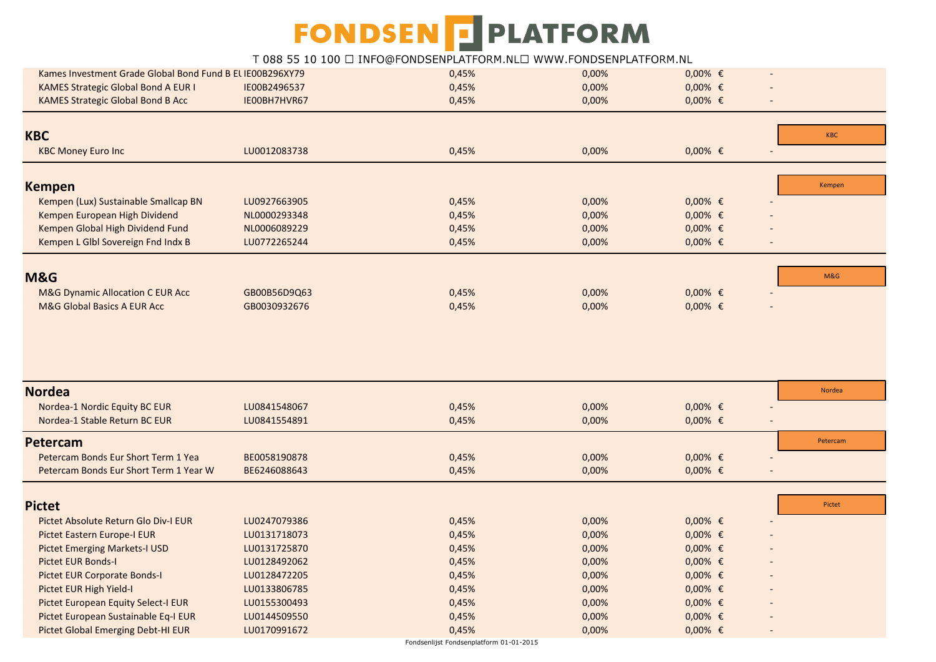#### T 088 55 10 100 □ INFO@FONDSENPLATFORM.NL□ WWW.FONDSENPLATFORM.NL

| Kames Investment Grade Global Bond Fund B EL IE00B296XY79 |              | 0,45% | 0,00% | $0,00%$ € | $\overline{a}$           |            |
|-----------------------------------------------------------|--------------|-------|-------|-----------|--------------------------|------------|
| <b>KAMES Strategic Global Bond A EUR I</b>                | IE00B2496537 | 0,45% | 0,00% | $0,00%$ € |                          |            |
| <b>KAMES Strategic Global Bond B Acc</b>                  | IE00BH7HVR67 | 0,45% | 0,00% | $0,00%$ € | $\overline{a}$           |            |
|                                                           |              |       |       |           |                          |            |
| <b>KBC</b>                                                |              |       |       |           |                          | <b>KBC</b> |
| <b>KBC Money Euro Inc</b>                                 | LU0012083738 | 0,45% | 0,00% | $0,00%$ € | $\overline{\phantom{a}}$ |            |
|                                                           |              |       |       |           |                          |            |
| <b>Kempen</b>                                             |              |       |       |           |                          | Kempen     |
| Kempen (Lux) Sustainable Smallcap BN                      | LU0927663905 | 0,45% | 0,00% | $0,00%$ € |                          |            |
| Kempen European High Dividend                             | NL0000293348 | 0,45% | 0,00% | $0,00%$ € |                          |            |
| Kempen Global High Dividend Fund                          | NL0006089229 | 0,45% | 0,00% | $0,00%$ € |                          |            |
| Kempen L Glbl Sovereign Fnd Indx B                        | LU0772265244 | 0,45% | 0,00% | $0,00%$ € |                          |            |
|                                                           |              |       |       |           |                          |            |
| <b>M&amp;G</b>                                            |              |       |       |           |                          | M&G        |
| <b>M&amp;G Dynamic Allocation C EUR Acc</b>               | GB00B56D9Q63 | 0,45% | 0,00% | $0,00%$ € |                          |            |
| M&G Global Basics A EUR Acc                               | GB0030932676 | 0,45% | 0,00% | $0,00%$ € |                          |            |
|                                                           |              |       |       |           |                          |            |
|                                                           |              |       |       |           |                          |            |
|                                                           |              |       |       |           |                          |            |
|                                                           |              |       |       |           |                          |            |
| <b>Nordea</b>                                             |              |       |       |           |                          | Nordea     |
| Nordea-1 Nordic Equity BC EUR                             | LU0841548067 | 0,45% | 0,00% | $0,00%$ € |                          |            |
| Nordea-1 Stable Return BC EUR                             | LU0841554891 | 0,45% | 0,00% | $0,00%$ € |                          |            |
| <b>Petercam</b>                                           |              |       |       |           |                          | Petercam   |
| Petercam Bonds Eur Short Term 1 Yea                       | BE0058190878 | 0,45% | 0,00% | $0,00%$ € |                          |            |
| Petercam Bonds Eur Short Term 1 Year W                    | BE6246088643 | 0,45% | 0,00% | $0,00%$ € |                          |            |
|                                                           |              |       |       |           |                          |            |
| <b>Pictet</b>                                             |              |       |       |           |                          | Pictet     |
| Pictet Absolute Return Glo Div-I EUR                      | LU0247079386 | 0,45% | 0,00% | $0,00%$ € |                          |            |
| Pictet Eastern Europe-I EUR                               | LU0131718073 | 0,45% | 0,00% | $0,00%$ € |                          |            |
| <b>Pictet Emerging Markets-I USD</b>                      | LU0131725870 | 0,45% | 0,00% | $0,00%$ € |                          |            |
| Pictet EUR Bonds-I                                        | LU0128492062 | 0,45% | 0,00% | $0,00%$ € |                          |            |
| <b>Pictet EUR Corporate Bonds-I</b>                       | LU0128472205 | 0,45% | 0,00% | $0,00%$ € |                          |            |
| Pictet EUR High Yield-I                                   | LU0133806785 | 0,45% | 0,00% | $0,00%$ € |                          |            |
| Pictet European Equity Select-I EUR                       | LU0155300493 | 0,45% | 0,00% | $0,00%$ € |                          |            |
| Pictet European Sustainable Eq-I EUR                      | LU0144509550 | 0,45% | 0,00% | $0,00%$ € |                          |            |
| Pictet Global Emerging Debt-HI EUR                        | LU0170991672 | 0,45% | 0,00% | $0,00%$ € |                          |            |

Fondsenlijst Fondsenplatform 01-01-2015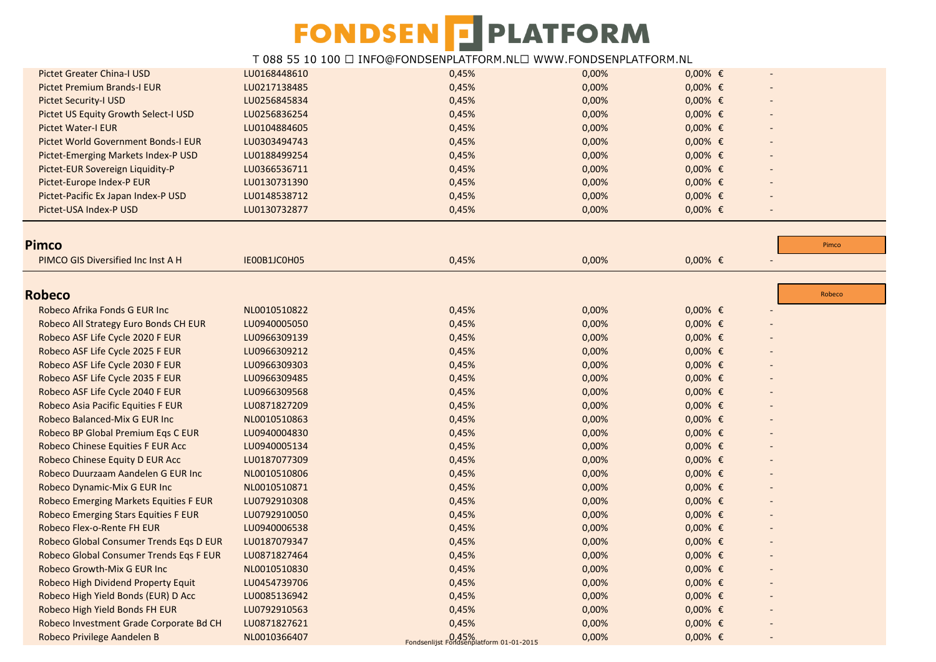| <b>Pictet Greater China-I USD</b>             | LU0168448610 | 0,45%                                               | 0,00% | $0,00%$ €      |                          |  |
|-----------------------------------------------|--------------|-----------------------------------------------------|-------|----------------|--------------------------|--|
| <b>Pictet Premium Brands-I EUR</b>            | LU0217138485 | 0,45%                                               | 0,00% | $0,00%$ €      |                          |  |
| <b>Pictet Security-I USD</b>                  | LU0256845834 | 0,45%                                               | 0,00% | $0,00%$ €      |                          |  |
| Pictet US Equity Growth Select-I USD          | LU0256836254 | 0,45%                                               | 0,00% | $0,00%$ €      |                          |  |
| <b>Pictet Water-I EUR</b>                     | LU0104884605 | 0,45%                                               | 0,00% | $0,00%$ €      |                          |  |
| Pictet World Government Bonds-I EUR           | LU0303494743 | 0,45%                                               | 0,00% | $0,00%$ €      |                          |  |
| Pictet-Emerging Markets Index-P USD           | LU0188499254 | 0,45%                                               | 0,00% | $0,00%$ €      |                          |  |
| Pictet-EUR Sovereign Liquidity-P              | LU0366536711 | 0,45%                                               | 0,00% | $0,00%$ €      |                          |  |
| Pictet-Europe Index-P EUR                     | LU0130731390 | 0,45%                                               | 0,00% | $0,00%$ €      |                          |  |
| Pictet-Pacific Ex Japan Index-P USD           | LU0148538712 | 0,45%                                               | 0,00% | $0,00%$ €      |                          |  |
| Pictet-USA Index-P USD                        | LU0130732877 | 0,45%                                               | 0,00% | $0,00%$ €      | $\overline{\phantom{a}}$ |  |
|                                               |              |                                                     |       |                |                          |  |
| Pimco                                         |              |                                                     |       |                | Pimco                    |  |
| PIMCO GIS Diversified Inc Inst A H            | IE00B1JC0H05 | 0,45%                                               | 0,00% | $0,00%$ €      | $\overline{\phantom{a}}$ |  |
|                                               |              |                                                     |       |                | Robeco                   |  |
| <b>Robeco</b>                                 |              |                                                     |       |                |                          |  |
| Robeco Afrika Fonds G EUR Inc                 | NL0010510822 | 0,45%                                               | 0,00% | $0,00%$ €      |                          |  |
| Robeco All Strategy Euro Bonds CH EUR         | LU0940005050 | 0,45%                                               | 0,00% | $0,00%$ €      |                          |  |
| Robeco ASF Life Cycle 2020 F EUR              | LU0966309139 | 0,45%                                               | 0,00% | $0,00%$ €      |                          |  |
| Robeco ASF Life Cycle 2025 F EUR              | LU0966309212 | 0,45%                                               | 0,00% | $0,00%$ €      |                          |  |
| Robeco ASF Life Cycle 2030 F EUR              | LU0966309303 | 0,45%                                               | 0,00% | $0,00%$ €      |                          |  |
| Robeco ASF Life Cycle 2035 F EUR              | LU0966309485 | 0,45%                                               | 0,00% | $0,00%$ €      |                          |  |
| Robeco ASF Life Cycle 2040 F EUR              | LU0966309568 | 0,45%                                               | 0,00% | $0,00%$ €      |                          |  |
| Robeco Asia Pacific Equities F EUR            | LU0871827209 | 0,45%                                               | 0,00% | $0,00%$ €      |                          |  |
| Robeco Balanced-Mix G EUR Inc                 | NL0010510863 | 0,45%                                               | 0,00% | $0,00%$ €      |                          |  |
| Robeco BP Global Premium Eqs C EUR            | LU0940004830 | 0,45%                                               | 0,00% | $0,00%$ €      |                          |  |
| Robeco Chinese Equities F EUR Acc             | LU0940005134 | 0,45%                                               | 0,00% | $0,00\%$ $\in$ |                          |  |
| Robeco Chinese Equity D EUR Acc               | LU0187077309 | 0,45%                                               | 0,00% | $0,00%$ €      |                          |  |
| Robeco Duurzaam Aandelen G EUR Inc            | NL0010510806 | 0,45%                                               | 0,00% | $0,00%$ €      |                          |  |
| Robeco Dynamic-Mix G EUR Inc                  | NL0010510871 | 0,45%                                               | 0,00% | $0,00%$ €      |                          |  |
| <b>Robeco Emerging Markets Equities F EUR</b> | LU0792910308 | 0,45%                                               | 0,00% | $0,00%$ €      |                          |  |
| <b>Robeco Emerging Stars Equities F EUR</b>   | LU0792910050 | 0,45%                                               | 0,00% | $0,00%$ €      |                          |  |
| Robeco Flex-o-Rente FH EUR                    | LU0940006538 | 0,45%                                               | 0,00% | $0,00%$ €      |                          |  |
| Robeco Global Consumer Trends Eqs D EUR       | LU0187079347 | 0,45%                                               | 0,00% | $0,00%$ €      |                          |  |
| Robeco Global Consumer Trends Eqs F EUR       | LU0871827464 | 0,45%                                               | 0,00% | $0,00%$ €      |                          |  |
| Robeco Growth-Mix G EUR Inc                   | NL0010510830 | 0,45%                                               | 0,00% | $0,00%$ €      |                          |  |
| Robeco High Dividend Property Equit           | LU0454739706 | 0,45%                                               | 0,00% | $0,00%$ €      |                          |  |
| Robeco High Yield Bonds (EUR) D Acc           | LU0085136942 | 0,45%                                               | 0,00% | $0,00%$ €      |                          |  |
| Robeco High Yield Bonds FH EUR                | LU0792910563 | 0,45%                                               | 0,00% | $0,00%$ €      |                          |  |
| Robeco Investment Grade Corporate Bd CH       | LU0871827621 | 0,45%                                               | 0,00% | $0,00%$ €      |                          |  |
| Robeco Privilege Aandelen B                   | NL0010366407 | $0.45\%$<br>Eondsenlijst Eondsennlatform 01-01-2015 | 0,00% | $0,00%$ €      |                          |  |
|                                               |              |                                                     |       |                |                          |  |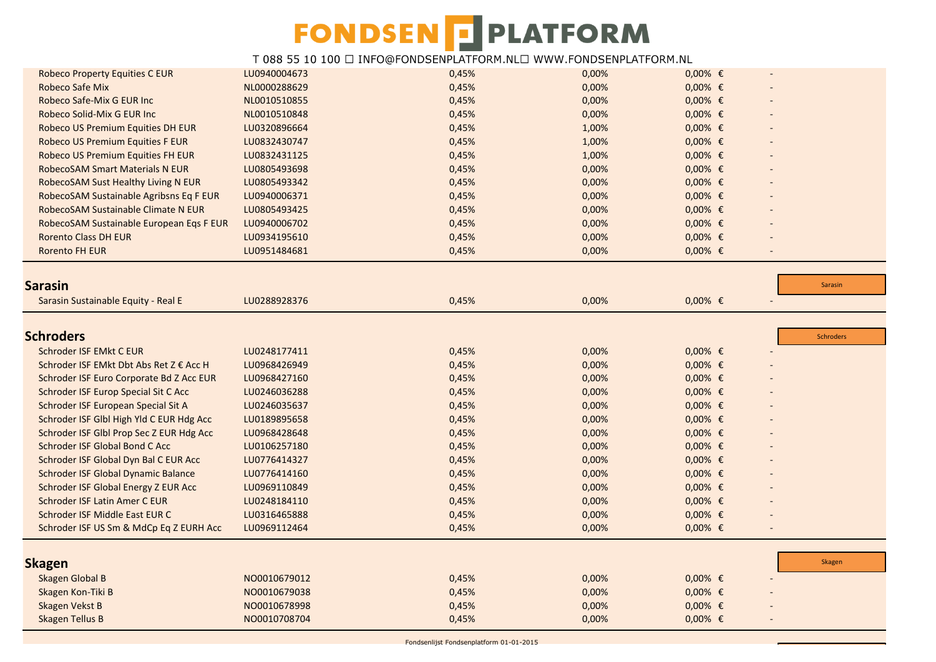| <b>Robeco Property Equities C EUR</b>                                        | LU0940004673                 | 0,45%          | 0,00%          | $0,00%$ €              |                          |
|------------------------------------------------------------------------------|------------------------------|----------------|----------------|------------------------|--------------------------|
| <b>Robeco Safe Mix</b>                                                       | NL0000288629                 | 0,45%          | 0,00%          | $0,00%$ €              |                          |
| Robeco Safe-Mix G EUR Inc                                                    | NL0010510855                 | 0,45%          | 0,00%          | $0,00%$ €              |                          |
| Robeco Solid-Mix G EUR Inc                                                   | NL0010510848                 | 0,45%          | 0,00%          | $0,00%$ €              |                          |
| Robeco US Premium Equities DH EUR                                            | LU0320896664                 | 0,45%          | 1,00%          | $0,00%$ €              |                          |
| Robeco US Premium Equities F EUR                                             | LU0832430747                 | 0,45%          | 1,00%          | $0,00%$ €              |                          |
| Robeco US Premium Equities FH EUR                                            | LU0832431125                 | 0,45%          | 1,00%          | $0,00%$ €              |                          |
| <b>RobecoSAM Smart Materials N EUR</b>                                       | LU0805493698                 | 0,45%          | 0,00%          | $0,00%$ €              |                          |
| RobecoSAM Sust Healthy Living N EUR                                          | LU0805493342                 | 0,45%          | 0,00%          | $0,00%$ €              |                          |
| RobecoSAM Sustainable Agribsns Eq F EUR                                      | LU0940006371                 | 0,45%          | 0,00%          | $0,00%$ €              |                          |
| RobecoSAM Sustainable Climate N EUR                                          | LU0805493425                 | 0,45%          | 0,00%          | $0,00%$ €              |                          |
| RobecoSAM Sustainable European Eqs F EUR                                     | LU0940006702                 | 0,45%          | 0,00%          | $0,00%$ €              |                          |
| <b>Rorento Class DH EUR</b>                                                  | LU0934195610                 | 0,45%          | 0,00%          | $0,00%$ €              |                          |
| <b>Rorento FH EUR</b>                                                        | LU0951484681                 | 0,45%          | 0,00%          | $0,00%$ €              | $\overline{\phantom{a}}$ |
|                                                                              |                              |                |                |                        |                          |
| Sarasin                                                                      |                              |                |                |                        | Sarasin                  |
| Sarasin Sustainable Equity - Real E                                          | LU0288928376                 | 0,45%          | 0,00%          | $0,00%$ €              | $\overline{\phantom{a}}$ |
|                                                                              |                              |                |                |                        |                          |
|                                                                              |                              |                |                |                        |                          |
| <b>Schroders</b>                                                             |                              |                |                |                        | <b>Schroders</b>         |
| Schroder ISF EMkt C EUR                                                      | LU0248177411                 | 0,45%          | 0,00%          | $0,00%$ €              |                          |
| Schroder ISF EMkt Dbt Abs Ret Z € Acc H                                      | LU0968426949                 | 0,45%          | 0,00%          | $0,00%$ €              |                          |
| Schroder ISF Euro Corporate Bd Z Acc EUR                                     | LU0968427160                 | 0,45%          | 0,00%          | $0,00%$ €              |                          |
| Schroder ISF Europ Special Sit C Acc                                         | LU0246036288                 | 0,45%          | 0,00%          | $0,00%$ €              |                          |
| Schroder ISF European Special Sit A                                          | LU0246035637                 | 0,45%          | 0,00%          | $0,00%$ €              |                          |
| Schroder ISF Glbl High Yld C EUR Hdg Acc                                     | LU0189895658                 | 0,45%<br>0,45% | 0,00%          | $0,00%$ €              |                          |
| Schroder ISF Glbl Prop Sec Z EUR Hdg Acc                                     | LU0968428648                 | 0,45%          | 0,00%          | $0,00%$ €<br>$0,00%$ € |                          |
| Schroder ISF Global Bond C Acc                                               | LU0106257180                 | 0,45%          | 0,00%<br>0,00% | $0,00%$ €              |                          |
| Schroder ISF Global Dyn Bal C EUR Acc<br>Schroder ISF Global Dynamic Balance | LU0776414327<br>LU0776414160 | 0,45%          | 0,00%          | $0,00%$ €              |                          |
| Schroder ISF Global Energy Z EUR Acc                                         | LU0969110849                 | 0,45%          | 0,00%          | $0,00%$ €              |                          |
| Schroder ISF Latin Amer C EUR                                                | LU0248184110                 | 0,45%          | 0,00%          | $0,00%$ €              |                          |
| Schroder ISF Middle East EUR C                                               | LU0316465888                 | 0,45%          | 0,00%          | $0,00%$ €              |                          |
| Schroder ISF US Sm & MdCp Eq Z EURH Acc                                      | LU0969112464                 | 0,45%          | 0,00%          | $0,00%$ €              |                          |
|                                                                              |                              |                |                |                        |                          |
|                                                                              |                              |                |                |                        |                          |
| <b>Skagen</b>                                                                |                              |                |                |                        | Skagen                   |
| Skagen Global B                                                              | NO0010679012                 | 0,45%          | 0,00%          | $0,00%$ €              |                          |
| Skagen Kon-Tiki B                                                            | NO0010679038                 | 0,45%          | 0,00%          | $0,00%$ €              |                          |
| <b>Skagen Vekst B</b>                                                        | NO0010678998                 | 0,45%          | 0,00%          | $0,00%$ €              |                          |
| <b>Skagen Tellus B</b>                                                       | NO0010708704                 | 0,45%          | 0,00%          | $0,00%$ €              |                          |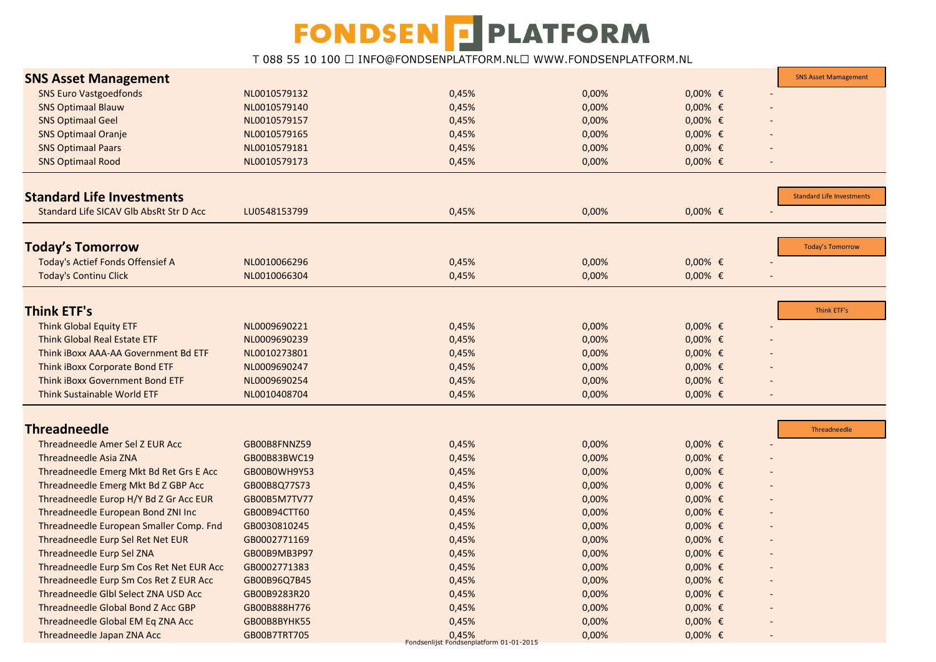| <b>SNS Asset Management</b>              |              |       |       |           | <b>SNS Asset Mamagement</b>      |
|------------------------------------------|--------------|-------|-------|-----------|----------------------------------|
| <b>SNS Euro Vastgoedfonds</b>            | NL0010579132 | 0,45% | 0,00% | $0,00%$ € |                                  |
| <b>SNS Optimaal Blauw</b>                | NL0010579140 | 0,45% | 0,00% | $0,00%$ € |                                  |
| <b>SNS Optimaal Geel</b>                 | NL0010579157 | 0,45% | 0,00% | $0,00%$ € |                                  |
| <b>SNS Optimaal Oranje</b>               | NL0010579165 | 0,45% | 0,00% | $0,00%$ € |                                  |
| <b>SNS Optimaal Paars</b>                | NL0010579181 | 0,45% | 0,00% | $0,00%$ € |                                  |
| <b>SNS Optimaal Rood</b>                 | NL0010579173 | 0,45% | 0,00% | $0,00%$ € |                                  |
|                                          |              |       |       |           |                                  |
| <b>Standard Life Investments</b>         |              |       |       |           | <b>Standard Life Investments</b> |
| Standard Life SICAV GIb AbsRt Str D Acc  | LU0548153799 | 0,45% | 0,00% | $0,00%$ € |                                  |
|                                          |              |       |       |           |                                  |
| <b>Today's Tomorrow</b>                  |              |       |       |           | <b>Today's Tomorrow</b>          |
| Today's Actief Fonds Offensief A         | NL0010066296 | 0,45% | 0,00% | $0,00%$ € |                                  |
| <b>Today's Continu Click</b>             | NL0010066304 | 0,45% | 0,00% | $0,00%$ € |                                  |
|                                          |              |       |       |           |                                  |
| <b>Think ETF's</b>                       |              |       |       |           | Think ETF's                      |
| <b>Think Global Equity ETF</b>           | NL0009690221 | 0,45% | 0,00% | $0,00%$ € |                                  |
| <b>Think Global Real Estate ETF</b>      | NL0009690239 | 0,45% | 0,00% | $0,00%$ € |                                  |
| Think iBoxx AAA-AA Government Bd ETF     | NL0010273801 | 0,45% | 0,00% | $0,00%$ € |                                  |
| Think iBoxx Corporate Bond ETF           | NL0009690247 | 0,45% | 0,00% | $0,00%$ € |                                  |
| Think iBoxx Government Bond ETF          | NL0009690254 | 0,45% | 0,00% | $0,00%$ € |                                  |
| Think Sustainable World ETF              | NL0010408704 | 0,45% | 0,00% | $0,00%$ € |                                  |
|                                          |              |       |       |           |                                  |
| <b>Threadneedle</b>                      |              |       |       |           | Threadneedle                     |
| Threadneedle Amer Sel Z EUR Acc          | GB00B8FNNZ59 | 0,45% | 0,00% | $0,00%$ € |                                  |
| Threadneedle Asia ZNA                    | GB00B83BWC19 | 0,45% | 0,00% | $0,00%$ € |                                  |
| Threadneedle Emerg Mkt Bd Ret Grs E Acc  | GB00B0WH9Y53 | 0,45% | 0,00% | $0,00%$ € |                                  |
| Threadneedle Emerg Mkt Bd Z GBP Acc      | GB00B8Q77S73 | 0,45% | 0,00% | $0,00%$ € |                                  |
| Threadneedle Europ H/Y Bd Z Gr Acc EUR   | GB00B5M7TV77 | 0,45% | 0,00% | $0,00%$ € |                                  |
| Threadneedle European Bond ZNI Inc       | GB00B94CTT60 | 0,45% | 0,00% | $0,00%$ € |                                  |
| Threadneedle European Smaller Comp. Fnd  | GB0030810245 | 0,45% | 0,00% | $0,00%$ € |                                  |
| Threadneedle Eurp Sel Ret Net EUR        | GB0002771169 | 0,45% | 0,00% | $0,00%$ € |                                  |
| Threadneedle Eurp Sel ZNA                | GB00B9MB3P97 | 0,45% | 0,00% | $0,00%$ € |                                  |
| Threadneedle Eurp Sm Cos Ret Net EUR Acc | GB0002771383 | 0,45% | 0,00% | $0,00%$ € |                                  |
| Threadneedle Eurp Sm Cos Ret Z EUR Acc   | GB00B96Q7B45 | 0,45% | 0,00% | $0,00%$ € |                                  |
| Threadneedle Glbl Select ZNA USD Acc     | GB00B9283R20 | 0,45% | 0,00% | $0,00%$ € |                                  |
| Threadneedle Global Bond Z Acc GBP       | GB00B888H776 | 0,45% | 0,00% | $0,00%$ € |                                  |
| Threadneedle Global EM Eq ZNA Acc        | GB00B8BYHK55 | 0,45% | 0,00% | $0,00%$ € |                                  |
| Threadneedle Japan ZNA Acc               | GB00B7TRT705 | 0,45% | 0,00% | $0,00%$ € |                                  |